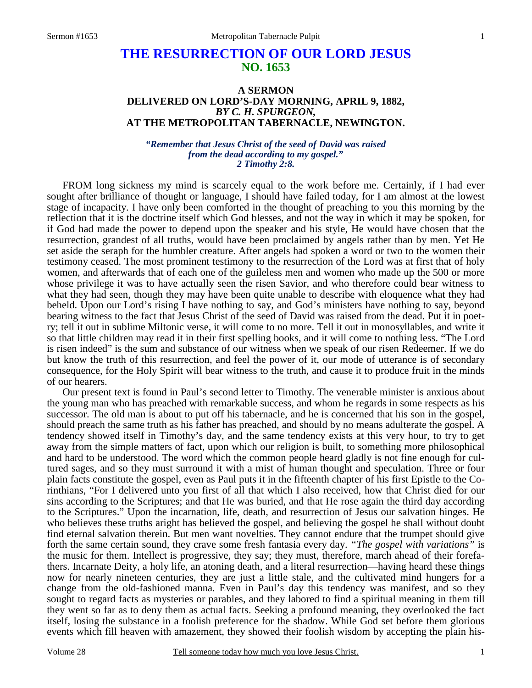## **THE RESURRECTION OF OUR LORD JESUS NO. 1653**

## **A SERMON DELIVERED ON LORD'S-DAY MORNING, APRIL 9, 1882,**  *BY C. H. SPURGEON,*  **AT THE METROPOLITAN TABERNACLE, NEWINGTON.**

*"Remember that Jesus Christ of the seed of David was raised from the dead according to my gospel." 2 Timothy 2:8.* 

FROM long sickness my mind is scarcely equal to the work before me. Certainly, if I had ever sought after brilliance of thought or language, I should have failed today, for I am almost at the lowest stage of incapacity. I have only been comforted in the thought of preaching to you this morning by the reflection that it is the doctrine itself which God blesses, and not the way in which it may be spoken, for if God had made the power to depend upon the speaker and his style, He would have chosen that the resurrection, grandest of all truths, would have been proclaimed by angels rather than by men. Yet He set aside the seraph for the humbler creature. After angels had spoken a word or two to the women their testimony ceased. The most prominent testimony to the resurrection of the Lord was at first that of holy women, and afterwards that of each one of the guileless men and women who made up the 500 or more whose privilege it was to have actually seen the risen Savior, and who therefore could bear witness to what they had seen, though they may have been quite unable to describe with eloquence what they had beheld. Upon our Lord's rising I have nothing to say, and God's ministers have nothing to say, beyond bearing witness to the fact that Jesus Christ of the seed of David was raised from the dead. Put it in poetry; tell it out in sublime Miltonic verse, it will come to no more. Tell it out in monosyllables, and write it so that little children may read it in their first spelling books, and it will come to nothing less. "The Lord is risen indeed" is the sum and substance of our witness when we speak of our risen Redeemer. If we do but know the truth of this resurrection, and feel the power of it, our mode of utterance is of secondary consequence, for the Holy Spirit will bear witness to the truth, and cause it to produce fruit in the minds of our hearers.

 Our present text is found in Paul's second letter to Timothy. The venerable minister is anxious about the young man who has preached with remarkable success, and whom he regards in some respects as his successor. The old man is about to put off his tabernacle, and he is concerned that his son in the gospel, should preach the same truth as his father has preached, and should by no means adulterate the gospel. A tendency showed itself in Timothy's day, and the same tendency exists at this very hour, to try to get away from the simple matters of fact, upon which our religion is built, to something more philosophical and hard to be understood. The word which the common people heard gladly is not fine enough for cultured sages, and so they must surround it with a mist of human thought and speculation. Three or four plain facts constitute the gospel, even as Paul puts it in the fifteenth chapter of his first Epistle to the Corinthians, "For I delivered unto you first of all that which I also received, how that Christ died for our sins according to the Scriptures; and that He was buried, and that He rose again the third day according to the Scriptures." Upon the incarnation, life, death, and resurrection of Jesus our salvation hinges. He who believes these truths aright has believed the gospel, and believing the gospel he shall without doubt find eternal salvation therein. But men want novelties. They cannot endure that the trumpet should give forth the same certain sound, they crave some fresh fantasia every day. *"The gospel with variations"* is the music for them. Intellect is progressive, they say; they must, therefore, march ahead of their forefathers. Incarnate Deity, a holy life, an atoning death, and a literal resurrection—having heard these things now for nearly nineteen centuries, they are just a little stale, and the cultivated mind hungers for a change from the old-fashioned manna. Even in Paul's day this tendency was manifest, and so they sought to regard facts as mysteries or parables, and they labored to find a spiritual meaning in them till they went so far as to deny them as actual facts. Seeking a profound meaning, they overlooked the fact itself, losing the substance in a foolish preference for the shadow. While God set before them glorious events which fill heaven with amazement, they showed their foolish wisdom by accepting the plain his-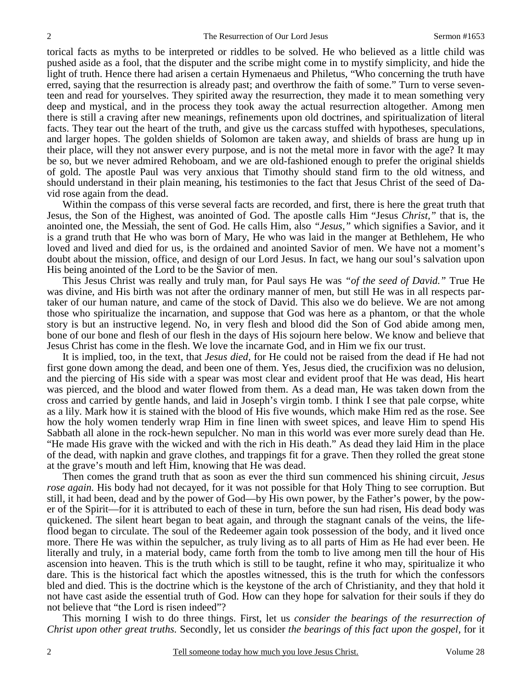torical facts as myths to be interpreted or riddles to be solved. He who believed as a little child was pushed aside as a fool, that the disputer and the scribe might come in to mystify simplicity, and hide the light of truth. Hence there had arisen a certain Hymenaeus and Philetus, "Who concerning the truth have erred, saying that the resurrection is already past; and overthrow the faith of some." Turn to verse seventeen and read for yourselves. They spirited away the resurrection, they made it to mean something very deep and mystical, and in the process they took away the actual resurrection altogether. Among men there is still a craving after new meanings, refinements upon old doctrines, and spiritualization of literal facts. They tear out the heart of the truth, and give us the carcass stuffed with hypotheses, speculations, and larger hopes. The golden shields of Solomon are taken away, and shields of brass are hung up in their place, will they not answer every purpose, and is not the metal more in favor with the age? It may be so, but we never admired Rehoboam, and we are old-fashioned enough to prefer the original shields of gold. The apostle Paul was very anxious that Timothy should stand firm to the old witness, and should understand in their plain meaning, his testimonies to the fact that Jesus Christ of the seed of David rose again from the dead.

 Within the compass of this verse several facts are recorded, and first, there is here the great truth that Jesus, the Son of the Highest, was anointed of God. The apostle calls Him "Jesus *Christ,"* that is, the anointed one, the Messiah, the sent of God. He calls Him, also *"Jesus,"* which signifies a Savior, and it is a grand truth that He who was born of Mary, He who was laid in the manger at Bethlehem, He who loved and lived and died for us, is the ordained and anointed Savior of men. We have not a moment's doubt about the mission, office, and design of our Lord Jesus. In fact, we hang our soul's salvation upon His being anointed of the Lord to be the Savior of men.

 This Jesus Christ was really and truly man, for Paul says He was *"of the seed of David."* True He was divine, and His birth was not after the ordinary manner of men, but still He was in all respects partaker of our human nature, and came of the stock of David. This also we do believe. We are not among those who spiritualize the incarnation, and suppose that God was here as a phantom, or that the whole story is but an instructive legend. No, in very flesh and blood did the Son of God abide among men, bone of our bone and flesh of our flesh in the days of His sojourn here below. We know and believe that Jesus Christ has come in the flesh. We love the incarnate God, and in Him we fix our trust.

 It is implied, too, in the text, that *Jesus died,* for He could not be raised from the dead if He had not first gone down among the dead, and been one of them. Yes, Jesus died, the crucifixion was no delusion, and the piercing of His side with a spear was most clear and evident proof that He was dead, His heart was pierced, and the blood and water flowed from them. As a dead man, He was taken down from the cross and carried by gentle hands, and laid in Joseph's virgin tomb. I think I see that pale corpse, white as a lily. Mark how it is stained with the blood of His five wounds, which make Him red as the rose. See how the holy women tenderly wrap Him in fine linen with sweet spices, and leave Him to spend His Sabbath all alone in the rock-hewn sepulcher. No man in this world was ever more surely dead than He. "He made His grave with the wicked and with the rich in His death." As dead they laid Him in the place of the dead, with napkin and grave clothes, and trappings fit for a grave. Then they rolled the great stone at the grave's mouth and left Him, knowing that He was dead.

 Then comes the grand truth that as soon as ever the third sun commenced his shining circuit, *Jesus rose again.* His body had not decayed, for it was not possible for that Holy Thing to see corruption. But still, it had been, dead and by the power of God—by His own power, by the Father's power, by the power of the Spirit—for it is attributed to each of these in turn, before the sun had risen, His dead body was quickened. The silent heart began to beat again, and through the stagnant canals of the veins, the lifeflood began to circulate. The soul of the Redeemer again took possession of the body, and it lived once more. There He was within the sepulcher, as truly living as to all parts of Him as He had ever been. He literally and truly, in a material body, came forth from the tomb to live among men till the hour of His ascension into heaven. This is the truth which is still to be taught, refine it who may, spiritualize it who dare. This is the historical fact which the apostles witnessed, this is the truth for which the confessors bled and died. This is the doctrine which is the keystone of the arch of Christianity, and they that hold it not have cast aside the essential truth of God. How can they hope for salvation for their souls if they do not believe that "the Lord is risen indeed"?

 This morning I wish to do three things. First, let us *consider the bearings of the resurrection of Christ upon other great truths.* Secondly, let us consider *the bearings of this fact upon the gospel,* for it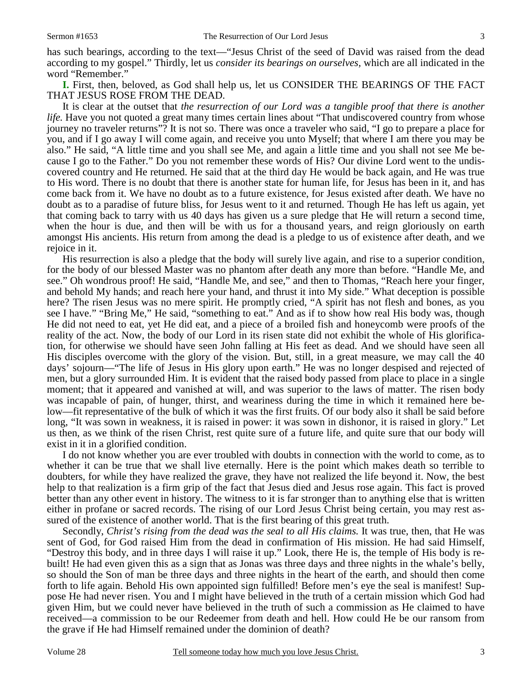has such bearings, according to the text—"Jesus Christ of the seed of David was raised from the dead according to my gospel." Thirdly, let us *consider its bearings on ourselves,* which are all indicated in the word "Remember."

**I.** First, then, beloved, as God shall help us, let us CONSIDER THE BEARINGS OF THE FACT THAT JESUS ROSE FROM THE DEAD.

 It is clear at the outset that *the resurrection of our Lord was a tangible proof that there is another life.* Have you not quoted a great many times certain lines about "That undiscovered country from whose journey no traveler returns"? It is not so. There was once a traveler who said, "I go to prepare a place for you, and if I go away I will come again, and receive you unto Myself; that where I am there you may be also." He said, "A little time and you shall see Me, and again a little time and you shall not see Me because I go to the Father." Do you not remember these words of His? Our divine Lord went to the undiscovered country and He returned. He said that at the third day He would be back again, and He was true to His word. There is no doubt that there is another state for human life, for Jesus has been in it, and has come back from it. We have no doubt as to a future existence, for Jesus existed after death. We have no doubt as to a paradise of future bliss, for Jesus went to it and returned. Though He has left us again, yet that coming back to tarry with us 40 days has given us a sure pledge that He will return a second time, when the hour is due, and then will be with us for a thousand years, and reign gloriously on earth amongst His ancients. His return from among the dead is a pledge to us of existence after death, and we rejoice in it.

 His resurrection is also a pledge that the body will surely live again, and rise to a superior condition, for the body of our blessed Master was no phantom after death any more than before. "Handle Me, and see." Oh wondrous proof! He said, "Handle Me, and see," and then to Thomas, "Reach here your finger, and behold My hands; and reach here your hand, and thrust it into My side." What deception is possible here? The risen Jesus was no mere spirit. He promptly cried, "A spirit has not flesh and bones, as you see I have." "Bring Me," He said, "something to eat." And as if to show how real His body was, though He did not need to eat, yet He did eat, and a piece of a broiled fish and honeycomb were proofs of the reality of the act. Now, the body of our Lord in its risen state did not exhibit the whole of His glorification, for otherwise we should have seen John falling at His feet as dead. And we should have seen all His disciples overcome with the glory of the vision. But, still, in a great measure, we may call the 40 days' sojourn—"The life of Jesus in His glory upon earth." He was no longer despised and rejected of men, but a glory surrounded Him. It is evident that the raised body passed from place to place in a single moment; that it appeared and vanished at will, and was superior to the laws of matter. The risen body was incapable of pain, of hunger, thirst, and weariness during the time in which it remained here below—fit representative of the bulk of which it was the first fruits. Of our body also it shall be said before long, "It was sown in weakness, it is raised in power: it was sown in dishonor, it is raised in glory." Let us then, as we think of the risen Christ, rest quite sure of a future life, and quite sure that our body will exist in it in a glorified condition.

 I do not know whether you are ever troubled with doubts in connection with the world to come, as to whether it can be true that we shall live eternally. Here is the point which makes death so terrible to doubters, for while they have realized the grave, they have not realized the life beyond it. Now, the best help to that realization is a firm grip of the fact that Jesus died and Jesus rose again. This fact is proved better than any other event in history. The witness to it is far stronger than to anything else that is written either in profane or sacred records. The rising of our Lord Jesus Christ being certain, you may rest assured of the existence of another world. That is the first bearing of this great truth.

 Secondly, *Christ's rising from the dead was the seal to all His claims.* It was true, then, that He was sent of God, for God raised Him from the dead in confirmation of His mission. He had said Himself, "Destroy this body, and in three days I will raise it up." Look, there He is, the temple of His body is rebuilt! He had even given this as a sign that as Jonas was three days and three nights in the whale's belly, so should the Son of man be three days and three nights in the heart of the earth, and should then come forth to life again. Behold His own appointed sign fulfilled! Before men's eye the seal is manifest! Suppose He had never risen. You and I might have believed in the truth of a certain mission which God had given Him, but we could never have believed in the truth of such a commission as He claimed to have received—a commission to be our Redeemer from death and hell. How could He be our ransom from the grave if He had Himself remained under the dominion of death?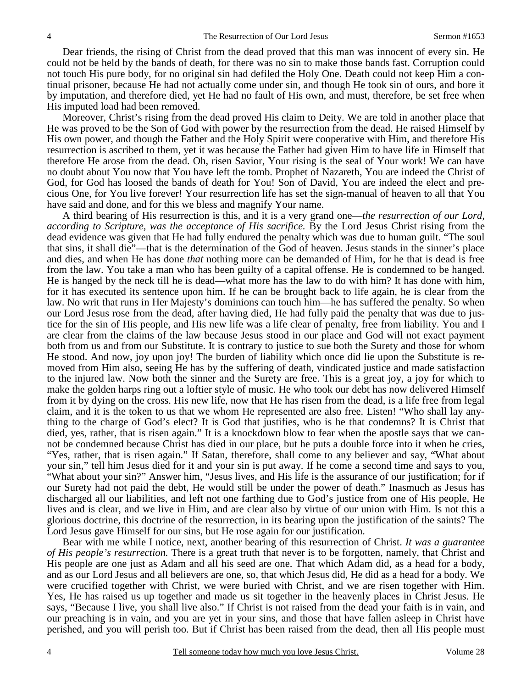Dear friends, the rising of Christ from the dead proved that this man was innocent of every sin. He could not be held by the bands of death, for there was no sin to make those bands fast. Corruption could not touch His pure body, for no original sin had defiled the Holy One. Death could not keep Him a continual prisoner, because He had not actually come under sin, and though He took sin of ours, and bore it by imputation, and therefore died, yet He had no fault of His own, and must, therefore, be set free when His imputed load had been removed.

 Moreover, Christ's rising from the dead proved His claim to Deity. We are told in another place that He was proved to be the Son of God with power by the resurrection from the dead. He raised Himself by His own power, and though the Father and the Holy Spirit were cooperative with Him, and therefore His resurrection is ascribed to them, yet it was because the Father had given Him to have life in Himself that therefore He arose from the dead. Oh, risen Savior, Your rising is the seal of Your work! We can have no doubt about You now that You have left the tomb. Prophet of Nazareth, You are indeed the Christ of God, for God has loosed the bands of death for You! Son of David, You are indeed the elect and precious One, for You live forever! Your resurrection life has set the sign-manual of heaven to all that You have said and done, and for this we bless and magnify Your name.

 A third bearing of His resurrection is this, and it is a very grand one—*the resurrection of our Lord, according to Scripture, was the acceptance of His sacrifice.* By the Lord Jesus Christ rising from the dead evidence was given that He had fully endured the penalty which was due to human guilt. "The soul that sins, it shall die"—that is the determination of the God of heaven. Jesus stands in the sinner's place and dies, and when He has done *that* nothing more can be demanded of Him, for he that is dead is free from the law. You take a man who has been guilty of a capital offense. He is condemned to be hanged. He is hanged by the neck till he is dead—what more has the law to do with him? It has done with him, for it has executed its sentence upon him. If he can be brought back to life again, he is clear from the law. No writ that runs in Her Majesty's dominions can touch him—he has suffered the penalty. So when our Lord Jesus rose from the dead, after having died, He had fully paid the penalty that was due to justice for the sin of His people, and His new life was a life clear of penalty, free from liability. You and I are clear from the claims of the law because Jesus stood in our place and God will not exact payment both from us and from our Substitute. It is contrary to justice to sue both the Surety and those for whom He stood. And now, joy upon joy! The burden of liability which once did lie upon the Substitute is removed from Him also, seeing He has by the suffering of death, vindicated justice and made satisfaction to the injured law. Now both the sinner and the Surety are free. This is a great joy, a joy for which to make the golden harps ring out a loftier style of music. He who took our debt has now delivered Himself from it by dying on the cross. His new life, now that He has risen from the dead, is a life free from legal claim, and it is the token to us that we whom He represented are also free. Listen! "Who shall lay anything to the charge of God's elect? It is God that justifies, who is he that condemns? It is Christ that died, yes, rather, that is risen again." It is a knockdown blow to fear when the apostle says that we cannot be condemned because Christ has died in our place, but he puts a double force into it when he cries, "Yes, rather, that is risen again." If Satan, therefore, shall come to any believer and say, "What about your sin," tell him Jesus died for it and your sin is put away. If he come a second time and says to you, "What about your sin?" Answer him, "Jesus lives, and His life is the assurance of our justification; for if our Surety had not paid the debt, He would still be under the power of death." Inasmuch as Jesus has discharged all our liabilities, and left not one farthing due to God's justice from one of His people, He lives and is clear, and we live in Him, and are clear also by virtue of our union with Him. Is not this a glorious doctrine, this doctrine of the resurrection, in its bearing upon the justification of the saints? The Lord Jesus gave Himself for our sins, but He rose again for our justification.

 Bear with me while I notice, next, another bearing of this resurrection of Christ. *It was a guarantee of His people's resurrection.* There is a great truth that never is to be forgotten, namely, that Christ and His people are one just as Adam and all his seed are one. That which Adam did, as a head for a body, and as our Lord Jesus and all believers are one, so, that which Jesus did, He did as a head for a body. We were crucified together with Christ, we were buried with Christ, and we are risen together with Him. Yes, He has raised us up together and made us sit together in the heavenly places in Christ Jesus. He says, "Because I live, you shall live also." If Christ is not raised from the dead your faith is in vain, and our preaching is in vain, and you are yet in your sins, and those that have fallen asleep in Christ have perished, and you will perish too. But if Christ has been raised from the dead, then all His people must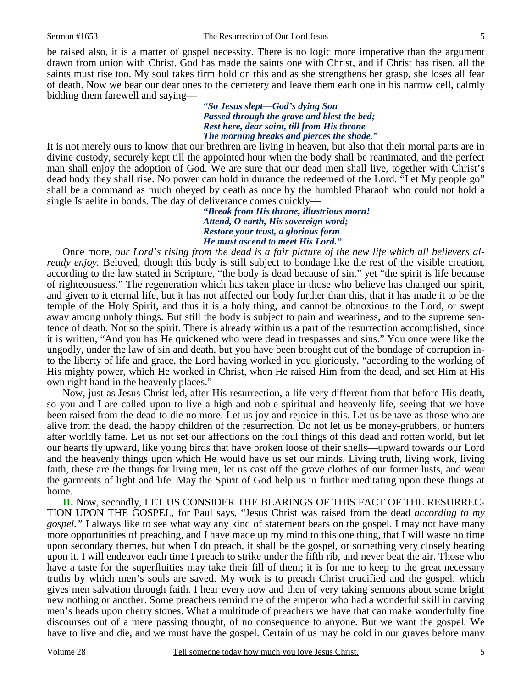be raised also, it is a matter of gospel necessity. There is no logic more imperative than the argument drawn from union with Christ. God has made the saints one with Christ, and if Christ has risen, all the saints must rise too. My soul takes firm hold on this and as she strengthens her grasp, she loses all fear of death. Now we bear our dear ones to the cemetery and leave them each one in his narrow cell, calmly bidding them farewell and saying—

> *"So Jesus slept—God's dying Son Passed through the grave and blest the bed; Rest here, dear saint, till from His throne The morning breaks and pierces the shade."*

It is not merely ours to know that our brethren are living in heaven, but also that their mortal parts are in divine custody, securely kept till the appointed hour when the body shall be reanimated, and the perfect man shall enjoy the adoption of God. We are sure that our dead men shall live, together with Christ's dead body they shall rise. No power can hold in durance the redeemed of the Lord. "Let My people go" shall be a command as much obeyed by death as once by the humbled Pharaoh who could not hold a single Israelite in bonds. The day of deliverance comes quickly—

> *"Break from His throne, illustrious morn! Attend, O earth, His sovereign word; Restore your trust, a glorious form He must ascend to meet His Lord."*

Once more, *our Lord's rising from the dead is a fair picture of the new life which all believers already enjoy.* Beloved, though this body is still subject to bondage like the rest of the visible creation, according to the law stated in Scripture, "the body is dead because of sin," yet "the spirit is life because of righteousness." The regeneration which has taken place in those who believe has changed our spirit, and given to it eternal life, but it has not affected our body further than this, that it has made it to be the temple of the Holy Spirit, and thus it is a holy thing, and cannot be obnoxious to the Lord, or swept away among unholy things. But still the body is subject to pain and weariness, and to the supreme sentence of death. Not so the spirit. There is already within us a part of the resurrection accomplished, since it is written, "And you has He quickened who were dead in trespasses and sins." You once were like the ungodly, under the law of sin and death, but you have been brought out of the bondage of corruption into the liberty of life and grace, the Lord having worked in you gloriously, "according to the working of His mighty power, which He worked in Christ, when He raised Him from the dead, and set Him at His own right hand in the heavenly places."

 Now, just as Jesus Christ led, after His resurrection, a life very different from that before His death, so you and I are called upon to live a high and noble spiritual and heavenly life, seeing that we have been raised from the dead to die no more. Let us joy and rejoice in this. Let us behave as those who are alive from the dead, the happy children of the resurrection. Do not let us be money-grubbers, or hunters after worldly fame. Let us not set our affections on the foul things of this dead and rotten world, but let our hearts fly upward, like young birds that have broken loose of their shells—upward towards our Lord and the heavenly things upon which He would have us set our minds. Living truth, living work, living faith, these are the things for living men, let us cast off the grave clothes of our former lusts, and wear the garments of light and life. May the Spirit of God help us in further meditating upon these things at home.

**II.** Now, secondly, LET US CONSIDER THE BEARINGS OF THIS FACT OF THE RESURREC-TION UPON THE GOSPEL, for Paul says, "Jesus Christ was raised from the dead *according to my gospel."* I always like to see what way any kind of statement bears on the gospel. I may not have many more opportunities of preaching, and I have made up my mind to this one thing, that I will waste no time upon secondary themes, but when I do preach, it shall be the gospel, or something very closely bearing upon it. I will endeavor each time I preach to strike under the fifth rib, and never beat the air. Those who have a taste for the superfluities may take their fill of them; it is for me to keep to the great necessary truths by which men's souls are saved. My work is to preach Christ crucified and the gospel, which gives men salvation through faith. I hear every now and then of very taking sermons about some bright new nothing or another. Some preachers remind me of the emperor who had a wonderful skill in carving men's heads upon cherry stones. What a multitude of preachers we have that can make wonderfully fine discourses out of a mere passing thought, of no consequence to anyone. But we want the gospel. We have to live and die, and we must have the gospel. Certain of us may be cold in our graves before many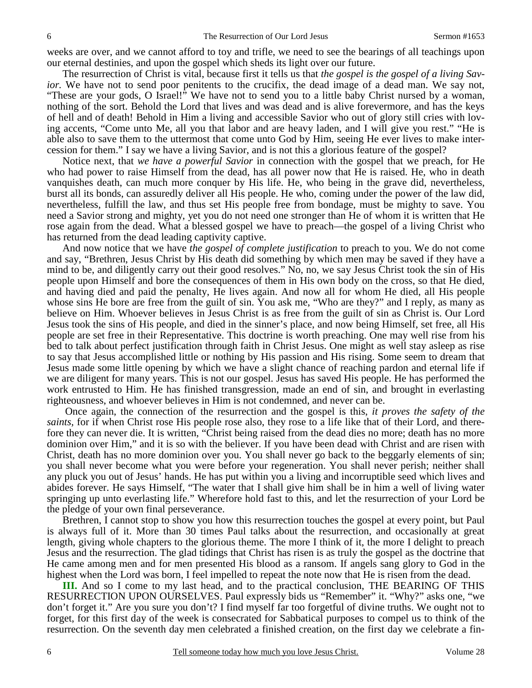weeks are over, and we cannot afford to toy and trifle, we need to see the bearings of all teachings upon our eternal destinies, and upon the gospel which sheds its light over our future.

 The resurrection of Christ is vital, because first it tells us that *the gospel is the gospel of a living Savior*. We have not to send poor penitents to the crucifix, the dead image of a dead man. We say not, "These are your gods, O Israel!" We have not to send you to a little baby Christ nursed by a woman, nothing of the sort. Behold the Lord that lives and was dead and is alive forevermore, and has the keys of hell and of death! Behold in Him a living and accessible Savior who out of glory still cries with loving accents, "Come unto Me, all you that labor and are heavy laden, and I will give you rest." "He is able also to save them to the uttermost that come unto God by Him, seeing He ever lives to make intercession for them." I say we have a living Savior, and is not this a glorious feature of the gospel?

 Notice next, that *we have a powerful Savior* in connection with the gospel that we preach, for He who had power to raise Himself from the dead, has all power now that He is raised. He, who in death vanquishes death, can much more conquer by His life. He, who being in the grave did, nevertheless, burst all its bonds, can assuredly deliver all His people. He who, coming under the power of the law did, nevertheless, fulfill the law, and thus set His people free from bondage, must be mighty to save. You need a Savior strong and mighty, yet you do not need one stronger than He of whom it is written that He rose again from the dead. What a blessed gospel we have to preach—the gospel of a living Christ who has returned from the dead leading captivity captive.

 And now notice that we have *the gospel of complete justification* to preach to you. We do not come and say, "Brethren, Jesus Christ by His death did something by which men may be saved if they have a mind to be, and diligently carry out their good resolves." No, no, we say Jesus Christ took the sin of His people upon Himself and bore the consequences of them in His own body on the cross, so that He died, and having died and paid the penalty, He lives again. And now all for whom He died, all His people whose sins He bore are free from the guilt of sin. You ask me, "Who are they?" and I reply, as many as believe on Him. Whoever believes in Jesus Christ is as free from the guilt of sin as Christ is. Our Lord Jesus took the sins of His people, and died in the sinner's place, and now being Himself, set free, all His people are set free in their Representative. This doctrine is worth preaching. One may well rise from his bed to talk about perfect justification through faith in Christ Jesus. One might as well stay asleep as rise to say that Jesus accomplished little or nothing by His passion and His rising. Some seem to dream that Jesus made some little opening by which we have a slight chance of reaching pardon and eternal life if we are diligent for many years. This is not our gospel. Jesus has saved His people. He has performed the work entrusted to Him. He has finished transgression, made an end of sin, and brought in everlasting righteousness, and whoever believes in Him is not condemned, and never can be.

 Once again, the connection of the resurrection and the gospel is this, *it proves the safety of the saints,* for if when Christ rose His people rose also, they rose to a life like that of their Lord, and therefore they can never die. It is written, "Christ being raised from the dead dies no more; death has no more dominion over Him," and it is so with the believer. If you have been dead with Christ and are risen with Christ, death has no more dominion over you. You shall never go back to the beggarly elements of sin; you shall never become what you were before your regeneration. You shall never perish; neither shall any pluck you out of Jesus' hands. He has put within you a living and incorruptible seed which lives and abides forever. He says Himself, "The water that I shall give him shall be in him a well of living water springing up unto everlasting life." Wherefore hold fast to this, and let the resurrection of your Lord be the pledge of your own final perseverance.

 Brethren, I cannot stop to show you how this resurrection touches the gospel at every point, but Paul is always full of it. More than 30 times Paul talks about the resurrection, and occasionally at great length, giving whole chapters to the glorious theme. The more I think of it, the more I delight to preach Jesus and the resurrection. The glad tidings that Christ has risen is as truly the gospel as the doctrine that He came among men and for men presented His blood as a ransom. If angels sang glory to God in the highest when the Lord was born, I feel impelled to repeat the note now that He is risen from the dead.

**III.** And so I come to my last head, and to the practical conclusion, THE BEARING OF THIS RESURRECTION UPON OURSELVES. Paul expressly bids us "Remember" it. "Why?" asks one, "we don't forget it." Are you sure you don't? I find myself far too forgetful of divine truths. We ought not to forget, for this first day of the week is consecrated for Sabbatical purposes to compel us to think of the resurrection. On the seventh day men celebrated a finished creation, on the first day we celebrate a fin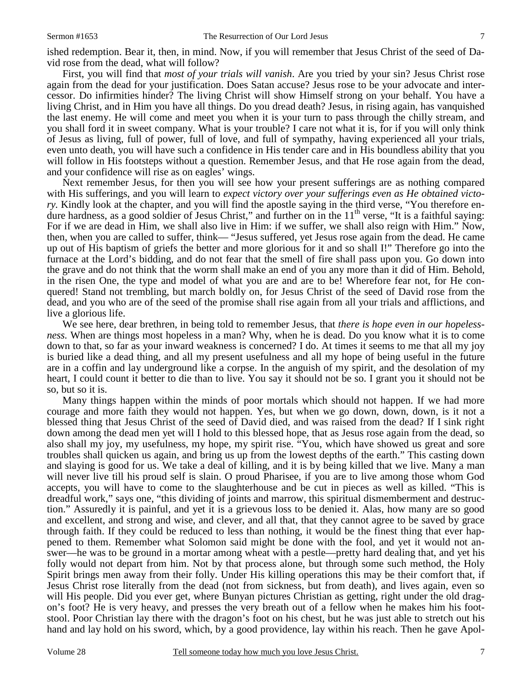ished redemption. Bear it, then, in mind. Now, if you will remember that Jesus Christ of the seed of David rose from the dead, what will follow?

 First, you will find that *most of your trials will vanish*. Are you tried by your sin? Jesus Christ rose again from the dead for your justification. Does Satan accuse? Jesus rose to be your advocate and intercessor. Do infirmities hinder? The living Christ will show Himself strong on your behalf. You have a living Christ, and in Him you have all things. Do you dread death? Jesus, in rising again, has vanquished the last enemy. He will come and meet you when it is your turn to pass through the chilly stream, and you shall ford it in sweet company. What is your trouble? I care not what it is, for if you will only think of Jesus as living, full of power, full of love, and full of sympathy, having experienced all your trials, even unto death, you will have such a confidence in His tender care and in His boundless ability that you will follow in His footsteps without a question. Remember Jesus, and that He rose again from the dead, and your confidence will rise as on eagles' wings.

 Next remember Jesus, for then you will see how your present sufferings are as nothing compared with His sufferings, and you will learn to *expect victory over your sufferings even as He obtained victory.* Kindly look at the chapter, and you will find the apostle saying in the third verse, "You therefore endure hardness, as a good soldier of Jesus Christ," and further on in the 11<sup>th</sup> verse, "It is a faithful saying: For if we are dead in Him, we shall also live in Him: if we suffer, we shall also reign with Him." Now, then, when you are called to suffer, think— "Jesus suffered, yet Jesus rose again from the dead. He came up out of His baptism of griefs the better and more glorious for it and so shall I!" Therefore go into the furnace at the Lord's bidding, and do not fear that the smell of fire shall pass upon you. Go down into the grave and do not think that the worm shall make an end of you any more than it did of Him. Behold, in the risen One, the type and model of what you are and are to be! Wherefore fear not, for He conquered! Stand not trembling, but march boldly on, for Jesus Christ of the seed of David rose from the dead, and you who are of the seed of the promise shall rise again from all your trials and afflictions, and live a glorious life.

 We see here, dear brethren, in being told to remember Jesus, that *there is hope even in our hopelessness.* When are things most hopeless in a man? Why, when he is dead. Do you know what it is to come down to that, so far as your inward weakness is concerned? I do. At times it seems to me that all my joy is buried like a dead thing, and all my present usefulness and all my hope of being useful in the future are in a coffin and lay underground like a corpse. In the anguish of my spirit, and the desolation of my heart, I could count it better to die than to live. You say it should not be so. I grant you it should not be so, but so it is.

 Many things happen within the minds of poor mortals which should not happen. If we had more courage and more faith they would not happen. Yes, but when we go down, down, down, is it not a blessed thing that Jesus Christ of the seed of David died, and was raised from the dead? If I sink right down among the dead men yet will I hold to this blessed hope, that as Jesus rose again from the dead, so also shall my joy, my usefulness, my hope, my spirit rise. "You, which have showed us great and sore troubles shall quicken us again, and bring us up from the lowest depths of the earth." This casting down and slaying is good for us. We take a deal of killing, and it is by being killed that we live. Many a man will never live till his proud self is slain. O proud Pharisee, if you are to live among those whom God accepts, you will have to come to the slaughterhouse and be cut in pieces as well as killed. "This is dreadful work," says one, "this dividing of joints and marrow, this spiritual dismemberment and destruction." Assuredly it is painful, and yet it is a grievous loss to be denied it. Alas, how many are so good and excellent, and strong and wise, and clever, and all that, that they cannot agree to be saved by grace through faith. If they could be reduced to less than nothing, it would be the finest thing that ever happened to them. Remember what Solomon said might be done with the fool, and yet it would not answer—he was to be ground in a mortar among wheat with a pestle—pretty hard dealing that, and yet his folly would not depart from him. Not by that process alone, but through some such method, the Holy Spirit brings men away from their folly. Under His killing operations this may be their comfort that, if Jesus Christ rose literally from the dead (not from sickness, but from death), and lives again, even so will His people. Did you ever get, where Bunyan pictures Christian as getting, right under the old dragon's foot? He is very heavy, and presses the very breath out of a fellow when he makes him his footstool. Poor Christian lay there with the dragon's foot on his chest, but he was just able to stretch out his hand and lay hold on his sword, which, by a good providence, lay within his reach. Then he gave Apol